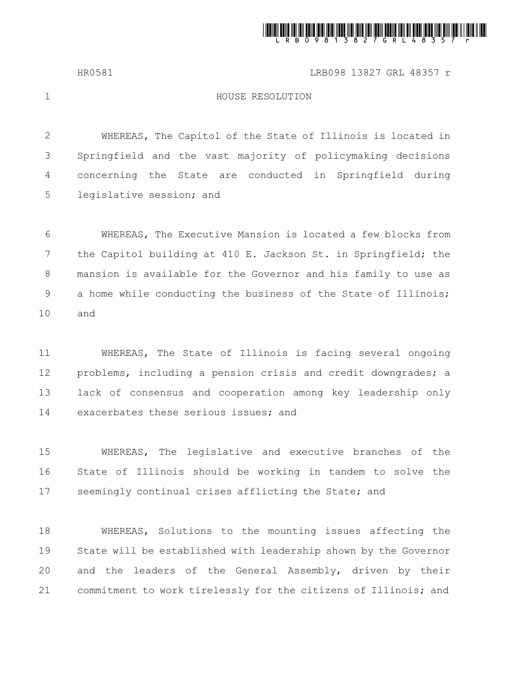

HR0581 LRB098 13827 GRL 48357 r

1

## HOUSE RESOLUTION

WHEREAS, The Capitol of the State of Illinois is located in Springfield and the vast majority of policymaking decisions concerning the State are conducted in Springfield during legislative session; and 2 3 4 5

WHEREAS, The Executive Mansion is located a few blocks from the Capitol building at 410 E. Jackson St. in Springfield; the mansion is available for the Governor and his family to use as a home while conducting the business of the State of Illinois; and 6 7 8 9 10

WHEREAS, The State of Illinois is facing several ongoing problems, including a pension crisis and credit downgrades; a lack of consensus and cooperation among key leadership only exacerbates these serious issues; and 11 12 13 14

WHEREAS, The legislative and executive branches of the State of Illinois should be working in tandem to solve the seemingly continual crises afflicting the State; and 15 16 17

WHEREAS, Solutions to the mounting issues affecting the State will be established with leadership shown by the Governor and the leaders of the General Assembly, driven by their commitment to work tirelessly for the citizens of Illinois; and 18 19 20 21